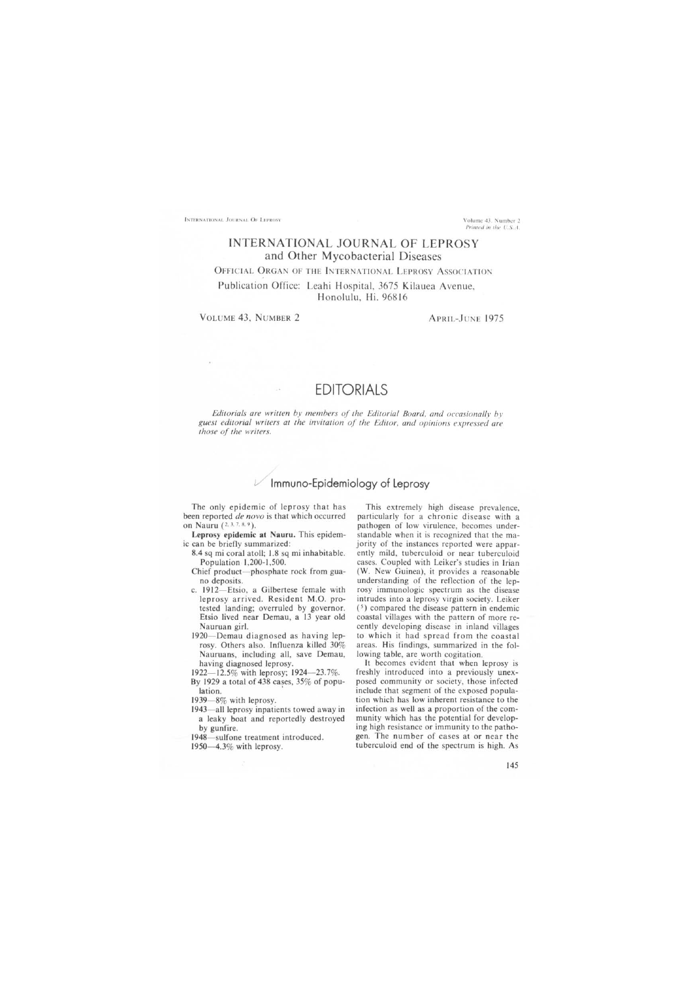INTERNATIONAL JOURNAL OF LEPROSY **Example 2008** Volume 43, Number 2

*Printed in the U.S.A.* 

## INTERNATIONAL JOURNAL OF LEPROSY and Other Mycobacterial Diseases

OFFICIAL ORGAN OF THE INTERNATIONAL LEPROSY ASSOCIATION

Publication Office: Leahi Hospital, 3675 Kilauea Avenue, Honolulu, Hi. 96816

VOLUME 43, NUMBER 2 APRIL-JUNE 1975

## EDITORIALS

*Editorials are written by members of the Editorial Board. and occasionallv bv*  guest editorial writers at the invitation of the Editor, and opinions expressed are *those of the writers.* 

## Immuno-Epidemiology of Leprosy

The only epidemic of leprosy that has been reported *de novo* is that which occurred on Nauru (2. J, 7, 8. 9).

- Leprosy epidemic at Nauru. This epidemic can be briefly summarized:
	- 8.4 sq mi coral atoll; 1.8 sq mi inhabitable. Population 1,200-1,500.
	- Chief product-phosphate rock from guano deposits.
	- c. 1912- Etsio, a Gilbertese female with leprosy arrived. Resident M.O. protested landing; overruled by governor. Etsio lived near Demau, a 13 year old Nauruan girl.
	- 1920- Demau diagnosed as having leprosy. Others also. Influenza killed 30% Nauruans, including all, save Demau, having diagnosed leprosy.

1922-12.5% with leprosy; 1924-23.7%.

- By 1929 a total of 438 cases, 35% of population.
- $1939 8\%$  with leprosy.
- 1943—all leprosy inpatients towed away in a leaky boat and reportedly destroyed by gunfire.

1948-sulfone treatment introduced.

1950-4.3% with leprosy.

This extremely high disease prevalence, particularly for a chronic disease with a pathogen of low virulence, becomes understandable when it is recognized that the majority of the instances reported were apparently mild, tuberculoid or near tuberculoid cases. Coupled with Leiker's studies in Irian CW. New Guinea), it provides a reasonable understanding of the reflection of the leprosy immunologic spectrum as the disease intrudes into a leprosy virgin society, Leiker  $(5)$  compared the disease pattern in endemic coastal villages with the pattern of more recently developing disease in inland villages to which it had spread from the coastal areas. His findings, summarized in the following table, are worth cogitation.

It becomes evident that when leprosy is freshly introduced into a previously unexposed community or society, those infected include that segment of the exposed population which has low inherent resistance to the infection as well as a proportion of the community which has the potential for developing high resistance or immunity to the pathogen. The number of cases at or near the tuberculoid end of the spectrum is high. As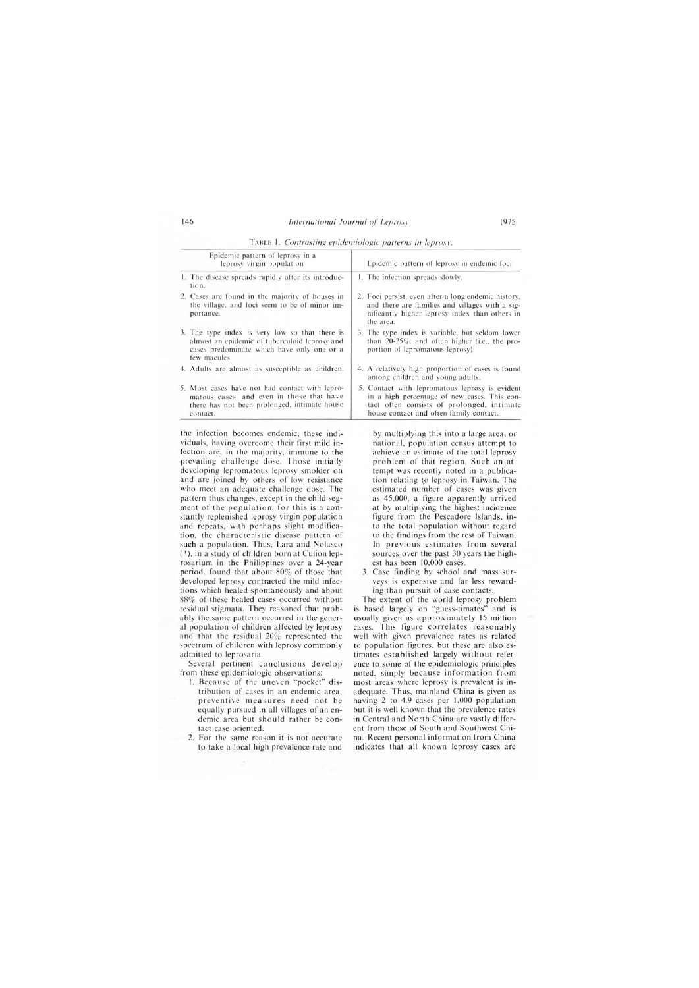Epidemic pattern of leprosy in a leprosy virgin population 1. The disease spreads rapidly after its introduction. 2. Cases are found in the majority of houses in the village, and foci seem to be of minor importance. 3. The type index is very low so that there is almost an epidemic of tuberculoid leprosy and cases predominate which have only one or a few macules. 4. Adults arc almost as susceptible as children. Epidemic pattern of leprosy in endemic foci 1. The infection spreads slowly. 2. Foci persist. even after a long endemic history. and there are families and villages with a significantly higher leprosy index than others in the area. 3. The type index is variable, but seldom lower than 20-25%, and often higher (i.e., the proportion of lepromatous leprosy). 4. A relatively high proportion of cases is found among children and young adults.

TABLE 1. *Contrasting epidemiologic patterns in leprosy*.

|  | 5. Most cases have not had contact with lepro- |
|--|------------------------------------------------|
|  | matous cases, and even in those that have      |
|  | there has not been prolonged, intimate house   |
|  | contact.                                       |

the infection becomes endemic. these individuals, having overcome their first mild infection are, in the majority, immune to the prevailing challenge dose. Those initially developing lepromatous leprosy smolder on and are joined by others of low resistance who meet an adequate challenge dose. The pattern thus changes, except in the child segment of the population, for this is a constantly replenished leprosy virgin population and repeats, with perhaps slight modification, the characteristic disease pattern of such a population. Thus, Lara and Nolasco (4), in a study of children born at Culion leprosarium in the Philippines over a 24-year period, found that about 80% of those that developed leprosy contracted the mild infections which healed spontaneously and about 88% of these healed cases occurred without residual stigmata. They reasoned that probably the same pattern occurred in the general population of children affected by leprosy and that the residual 20% represented the spectrum of children with leprosy commonly admitted to leprosaria.

Several pertinent conclusions develop from these epidemiologic observations:

- 1. Because of the uneven "pocket" distribution of cases in an endemic area, preventive measures need not be equally pursued in all villages of an endemic area but should rather be contact case oriented.
- 2. For the same reason it is not accurate to take a local high prevalence rate and

by multiplying this into a large area, or national, population census attempt to achieve an estimate of the total leprosy problem of that region. Such an attempt was recently noted in a publication relating to leprosy in Taiwan. The estimated number of cases was given as 45 ,000, a figure apparently arrived at by mUltiplying the highest incidence figure from the Pescadore Islands, into the total population without regard to the findings from the rest of Taiwan. In previous estimates from several sources over the past 30 years the highest has been 10,000 cases.

5. Contact with lepromatous leprosy is evident in a high percentage of new cases. This contact often consists of prolonged. intimate house contact and often family contact.

3. Case finding by school and mass surveys is expensive and far less rewarding than pursuit of case contacts.

The extent of the world leprosy problem is based largely on "guess-timates" and is usually given as approximately 15 million cases. This figure correlates reasonably well with given prevalence rates as related to population figures, but these are also estimates established largely without reference to some of the epidemiologic principles noted, simply because information from most areas where leprosy is prevalent is inadequate. Thus, mainland China is given as having 2 to 4.9 cases per  $1,000$  population but it is well known that the prevalence rates in Central and North China are vastly different from those of South and Southwest China. Recent personal information from China indicates that all known leprosy cases are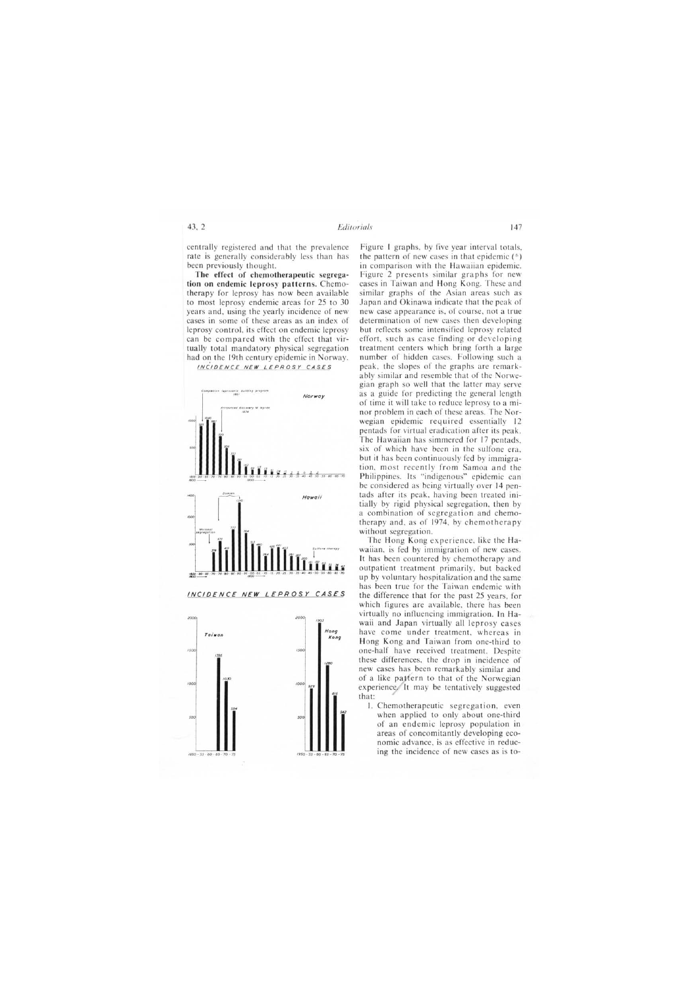centrally registered and that the prevalence rate is generally considerably less than has been previously thought.

The effect of chemotherapeutic segregation on endemic leprosy patterns. Chemotherapy for leprosy has now been available to most leprosy endemic areas for 25 to 30 years and, using the yearly incidence of new cases in some of these areas as an index of leprosy control, its effect on endemic leprosy can be compared with the effect that virtually total mandatory physical segregation had on the 19th century epidemic in Norway.

INCIDENCE NEW LEPROSY CASES





 $2000$ 2006 Hong Taiwan Kong  $1500$  $150$  $1000$  $100$  $1050 - 55 - 80$ 

Figure 1 graphs, by five year interval totals, the pattern of new cases in that epidemic  $(6)$ in comparison with the Hawaiian epidemic. Figure 2 presents similar graphs for new cases in Taiwan and Hong Kong. These and similar graphs of the Asian areas such as Japan and Okinawa indicate that the peak of new case appearance is, of course, not a true determination of new cases then developing but reflects some intensified leprosy related effort, such as case finding or developing treatment centers which bring forth a large number of hidden cases. Following such a peak, the slopes of the graphs are remarkably similar and resemble that of the Norwegian graph so well that the latter may serve as a guide for predicting the general length of time it will take to reduce leprosy to a minor problem in each of these areas. The Norwegian epidemic required essentially 12 pentads for virtual eradication after its peak. The Hawaiian has simmered for 17 pentads, six of which have been in the sulfone era, but it has been continuously fed by immigration, most recently from Samoa and the Philippines. Its "indigenous" epidemic can be considered as being virtually over 14 pentads after its peak, having been treated initially by rigid physical segregation, then by a combination of segregation and chemotherapy and, as of 1974, by chemotherapy without segregation.

The Hong Kong experience, like the Hawaiian, is fed by immigration of new cases. It has been countered by chemotherapy and outpatient treatment primarily, but backed up by voluntary hospitalization and the same has been true for the Taiwan endemic with the difference that for the past 25 years, for which figures are available, there has been virtually no influencing immigration. In Hawaii and Japan virtually all leprosy cases have come under treatment, whereas in Hong Kong and Taiwan from one-third to one-half have received treatment. Despite these differences, the drop in incidence of new cases has been remarkably similar and of a like pattern to that of the Norwegian experience. It may be tentatively suggested that:

1. Chemotherapeutic segregation, even when applied to only about one-third of an endemic leprosy population in areas of concomitantly developing economic advance, is as effective in reducing the incidence of new cases as is to-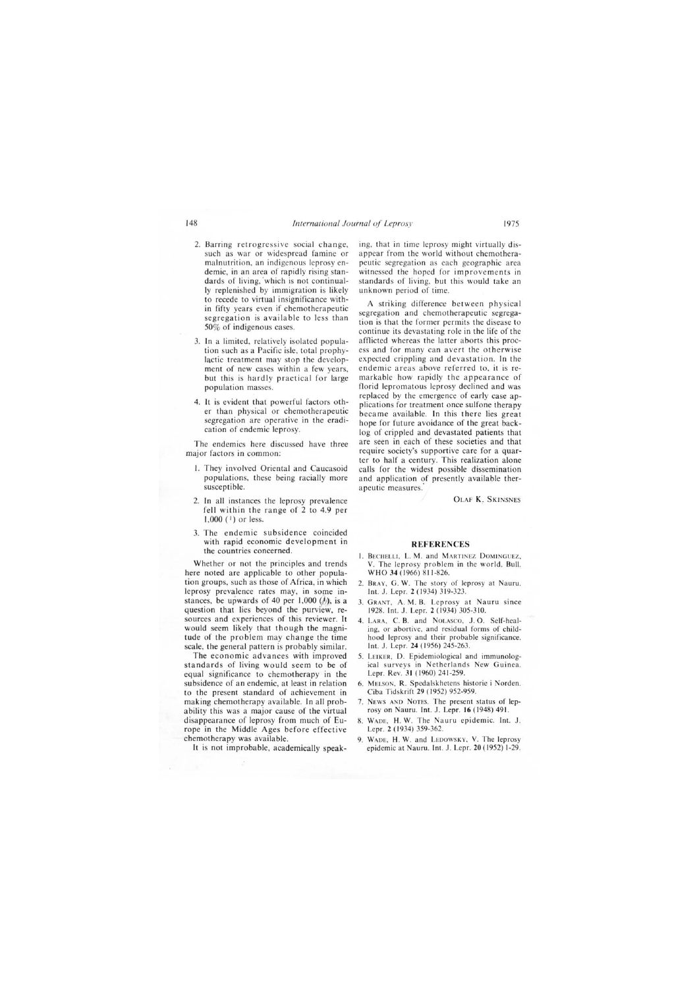- 2. Barring retrogressive social change, such as war or widespread famine or malnutrition, an indigenous leprosyendemic, in an area of rapidly rising standards of living, 'which is not continually replenished by immigration is likely to recede to virtual insignificance within fifty years even if chemotherapeutic segregation is available to less than 50% of indigenous cases.
- 3. In a limited, relatively isolated population such as a Pacific isle, total prophylactic treatment may stop the development of new cases within a few years, but this is hardly practical for large population masses.
- 4. **It** is evident that powerful factors other than physical or chemotherapeutic segregation are operative in the eradication of endemic leprosy.

The endemics here discussed have three major factors in common:

- I. They involved Oriental and Caucasoid populations, these being racially more susceptible.
- 2. In all instances the leprosy prevalence fell within the range of 2 to 4.9 per  $1,000$  ( $^{1}$ ) or less.
- 3. The endemic subsidence coincided with rapid economic development in the countries concerned.

Whether or not the principles and trends here noted are applicable to other population groups, such as those of Africa, in which leprosy prevalence rates may, in some instances, be upwards of 40 per 1,000  $\binom{1}{2}$ , is a question that lies beyond the purview, resources and experiences of this reviewer. It would seem likely that though the magnitude of the problem may change the time scale, the general pattern is probably similar.

The economic advances with improved standards of living would seem to be of equal significance to chemotherapy in the subsidence of an endemic, at least in relation to the present standard of achievement in making chemotherapy available. **In** all probability this was a major cause of the virtual disappearance of leprosy from much of Europe in the Middle Ages before effective chemotherapy was available.

It is not improbable, academically speak-

ing, that in time leprosy might virtually disappear from the world without chemotherapeutic segregation as each geographic area witnessed the hoped for improvements in standards of living, but this would take an unknown period of time.

A striking difference between physical segregation and chemotherapeutic segregation is that the former permits the disease to continue its devastating role in the life of the afflicted whereas the latter aborts this process and for many can avert the otherwise expected crippling and devastation. **In** the endemic areas above referred to, it is remarkable how rapidly the appearance of florid lepromatous leprosy declined and was replaced by the emergence of early case applications for treatment once sulfone therapy became available. **In** this there lies great hope for future avoidance of the great backlog of crippled and devastated patients that are seen in each of these societies and that require society's supportive care for a quarter to half a century. This realization alone calls for the widest possible dissemination and application of presently available therapeutic measures.

OLAF K. SKINSNES

## **REFERENCES**

- I. BECHELLI, L. M. and MARTINEZ DOMINGUEZ, V. The leprosy problem in the world. Bull. WHO **34** (1966) 811-826.
- 2. BRAY, G. W. The story of leprosy at Nauru. Int. J. Lepr. 2 (1934) 319-323.
- 3. GRANT, A. M. B. Leprosy at Nauru since 1928. Int. J. Lepr. 2 (1934) 305-310.
- 4. LARA, C. B. and NOLASCO, J. O. Self-healing, or abortive, and residual forms of childhood leprosy and their probable significance. Int. J. Lepr. **24** (1956) 245-263 .
- 5. LEIKER, D. Epidemiological and immunological surveys in Netherlands New Guinea. Lepr. Rev. **31** (1960) 241-259.
- 6. MELSON, R. Spedalskhetens historie i Norden. Ciba Tidskrift 29 (1952) 952-959.
- 7. NEWS AND NOTES. The present status of leprosy on Nauru. Int. J. Lepr. 16 (1948) 491.
- 8. WADE, H. W. The Nauru epidemic. Int. J. Lepr. 2 ( 1934) 359-362.
- 9. WADE, H. W. and LEDOWSKY, V. The leprosy epidemic at Nauru. Int. J. Lepr. **20** (1952) 1-29.